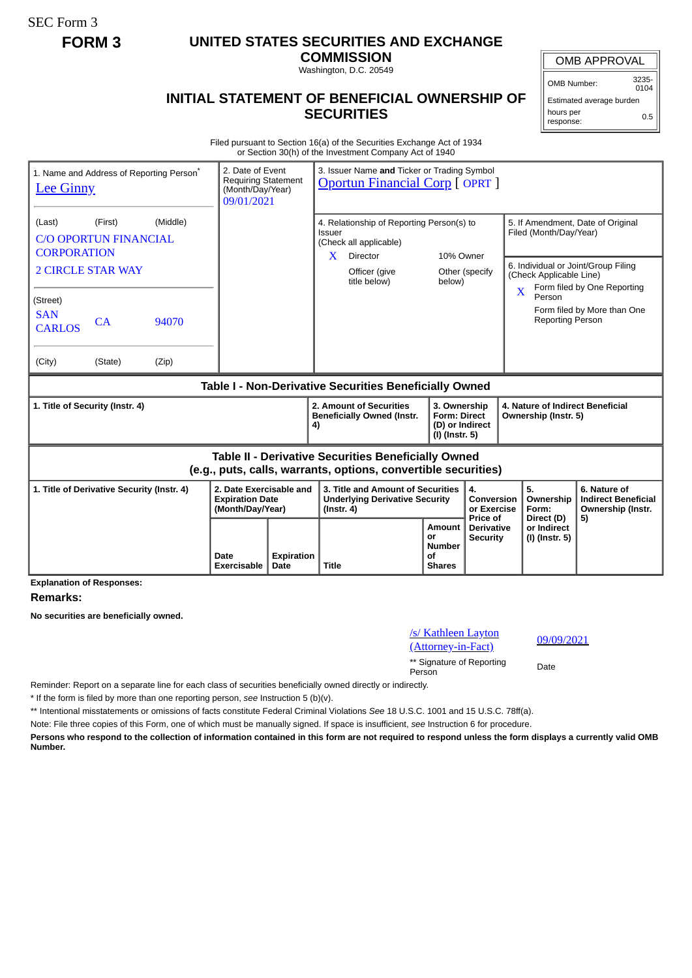SEC Form 3

## **FORM 3 UNITED STATES SECURITIES AND EXCHANGE**

**COMMISSION** Washington, D.C. 20549

# **INITIAL STATEMENT OF BENEFICIAL OWNERSHIP OF**

OMB APPROVAL

OMB Number: 3235-  $0104$ 

Estimated average burden hours per response: 0.5

#### Filed pursuant to Section 16(a) of the Securities Exchange Act of 1934 or Section 30(h) of the Investment Company Act of 1940

**SECURITIES**

| 1. Name and Address of Reporting Person <sup>®</sup><br><b>Lee Ginny</b>                                                     |                     | 2. Date of Event<br>3. Issuer Name and Ticker or Trading Symbol<br><b>Requiring Statement</b><br><b>Oportun Financial Corp [OPRT]</b><br>(Month/Day/Year)<br>09/01/2021 |                                                                                                                                                       |                                                                          |                                                    |                                                                                                    |                                                                 |  |
|------------------------------------------------------------------------------------------------------------------------------|---------------------|-------------------------------------------------------------------------------------------------------------------------------------------------------------------------|-------------------------------------------------------------------------------------------------------------------------------------------------------|--------------------------------------------------------------------------|----------------------------------------------------|----------------------------------------------------------------------------------------------------|-----------------------------------------------------------------|--|
| (Middle)<br>(First)<br>(Last)<br><b>C/O OPORTUN FINANCIAL</b><br><b>CORPORATION</b><br><b>2 CIRCLE STAR WAY</b>              |                     |                                                                                                                                                                         | 4. Relationship of Reporting Person(s) to<br><b>Issuer</b><br>(Check all applicable)<br>Director<br>10% Owner<br>X<br>Officer (give<br>Other (specify |                                                                          |                                                    | 5. If Amendment, Date of Original<br>Filed (Month/Day/Year)<br>6. Individual or Joint/Group Filing |                                                                 |  |
| (Street)<br><b>SAN</b><br>94070<br>CA<br><b>CARLOS</b><br>(City)<br>(State)                                                  |                     |                                                                                                                                                                         | title below)                                                                                                                                          | below)                                                                   |                                                    | (Check Applicable Line)<br>X<br>Person<br><b>Reporting Person</b>                                  | Form filed by One Reporting<br>Form filed by More than One      |  |
| (Zip)                                                                                                                        |                     |                                                                                                                                                                         | Table I - Non-Derivative Securities Beneficially Owned                                                                                                |                                                                          |                                                    |                                                                                                    |                                                                 |  |
| 1. Title of Security (Instr. 4)                                                                                              |                     |                                                                                                                                                                         | 2. Amount of Securities<br><b>Beneficially Owned (Instr.</b><br>4)                                                                                    | 3. Ownership<br><b>Form: Direct</b><br>(D) or Indirect<br>(I) (Instr. 5) |                                                    | 4. Nature of Indirect Beneficial<br>Ownership (Instr. 5)                                           |                                                                 |  |
| <b>Table II - Derivative Securities Beneficially Owned</b><br>(e.g., puts, calls, warrants, options, convertible securities) |                     |                                                                                                                                                                         |                                                                                                                                                       |                                                                          |                                                    |                                                                                                    |                                                                 |  |
| 1. Title of Derivative Security (Instr. 4)<br>2. Date Exercisable and<br><b>Expiration Date</b><br>(Month/Day/Year)          |                     |                                                                                                                                                                         | 3. Title and Amount of Securities<br><b>Underlying Derivative Security</b><br>$($ Instr. 4 $)$                                                        |                                                                          | 4.<br>Conversion<br>or Exercise<br><b>Price of</b> | 5.<br>Ownership<br>Form:<br>Direct (D)                                                             | 6. Nature of<br><b>Indirect Beneficial</b><br>Ownership (Instr. |  |
|                                                                                                                              | Date<br>Exercisable | <b>Expiration</b><br>Date                                                                                                                                               | <b>Title</b>                                                                                                                                          | Amount<br>or<br><b>Number</b><br>Οf<br><b>Shares</b>                     | <b>Derivative</b><br><b>Security</b>               | or Indirect<br>(I) (Instr. 5)                                                                      | 5)                                                              |  |

**Explanation of Responses:**

#### **Remarks:**

**No securities are beneficially owned.**

## /s/ Kathleen Layton (S) Natureen Layton<br>(Attorney-in-Fact) 09/09/2021 \*\* Signature of Reporting Person Date

Reminder: Report on a separate line for each class of securities beneficially owned directly or indirectly.

\* If the form is filed by more than one reporting person, *see* Instruction 5 (b)(v).

\*\* Intentional misstatements or omissions of facts constitute Federal Criminal Violations *See* 18 U.S.C. 1001 and 15 U.S.C. 78ff(a).

Note: File three copies of this Form, one of which must be manually signed. If space is insufficient, *see* Instruction 6 for procedure.

**Persons who respond to the collection of information contained in this form are not required to respond unless the form displays a currently valid OMB Number.**